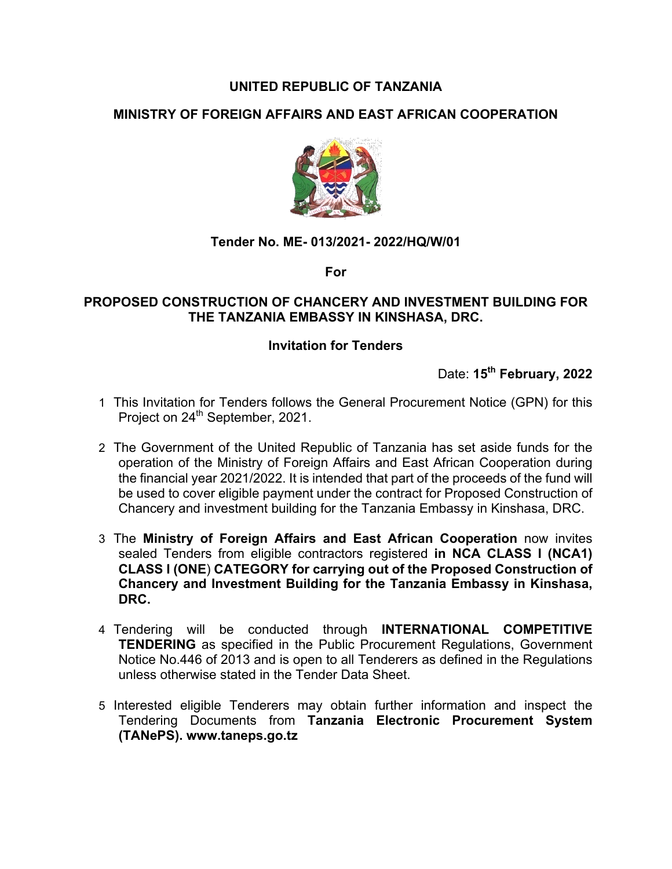# **UNITED REPUBLIC OF TANZANIA**

# **MINISTRY OF FOREIGN AFFAIRS AND EAST AFRICAN COOPERATION**



#### **Tender No. ME- 013/2021- 2022/HQ/W/01**

**For**

#### **PROPOSED CONSTRUCTION OF CHANCERY AND INVESTMENT BUILDING FOR THE TANZANIA EMBASSY IN KINSHASA, DRC.**

#### **Invitation for Tenders**

Date: **15th February, 2022**

- 1 This Invitation for Tenders follows the General Procurement Notice (GPN) for this Project on 24<sup>th</sup> September, 2021.
- 2 The Government of the United Republic of Tanzania has set aside funds for the operation of the Ministry of Foreign Affairs and East African Cooperation during the financial year 2021/2022. It is intended that part of the proceeds of the fund will be used to cover eligible payment under the contract for Proposed Construction of Chancery and investment building for the Tanzania Embassy in Kinshasa, DRC.
- 3 The **Ministry of Foreign Affairs and East African Cooperation** now invites sealed Tenders from eligible contractors registered **in NCA CLASS I (NCA1) CLASS I (ONE**) **CATEGORY for carrying out of the Proposed Construction of Chancery and Investment Building for the Tanzania Embassy in Kinshasa, DRC.**
- 4 Tendering will be conducted through **INTERNATIONAL COMPETITIVE TENDERING** as specified in the Public Procurement Regulations, Government Notice No.446 of 2013 and is open to all Tenderers as defined in the Regulations unless otherwise stated in the Tender Data Sheet.
- 5 Interested eligible Tenderers may obtain further information and inspect the Tendering Documents from **Tanzania Electronic Procurement System (TANePS). www.taneps.go.tz**